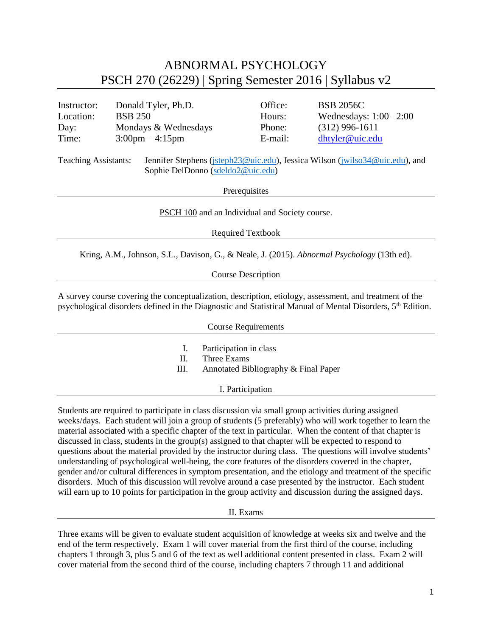## ABNORMAL PSYCHOLOGY PSCH 270 (26229) | Spring Semester 2016 | Syllabus v2

| Instructor: | Donald Tyler, Ph.D.               | Office: | <b>BSB 2056C</b>          |
|-------------|-----------------------------------|---------|---------------------------|
| Location:   | <b>BSB 250</b>                    | Hours:  | Wednesdays: $1:00 - 2:00$ |
| Day:        | Mondays & Wednesdays              | Phone:  | $(312)$ 996-1611          |
| Time:       | $3:00 \text{pm} - 4:15 \text{pm}$ | E-mail: | dhtyler@uic.edu           |
|             |                                   |         |                           |

Teaching Assistants: Jennifer Stephens [\(jsteph23@uic.edu\)](mailto:jsteph23@uic.edu), Jessica Wilson [\(jwilso34@uic.edu\)](mailto:jwilso34@uic.edu), and Sophie DelDonno [\(sdeldo2@uic.edu\)](mailto:sdeldo2@uic.edu)

**Prerequisites** 

[PSCH](http://catalog.uic.edu/search/?P=PSCH%20100) 100 and an Individual and Society course.

Required Textbook

Kring, A.M., Johnson, S.L., Davison, G., & Neale, J. (2015). *Abnormal Psychology* (13th ed).

Course Description

A survey course covering the conceptualization, description, etiology, assessment, and treatment of the psychological disorders defined in the Diagnostic and Statistical Manual of Mental Disorders, 5th Edition.

| <b>Course Requirements</b> |                                                                               |  |  |  |
|----------------------------|-------------------------------------------------------------------------------|--|--|--|
| I.<br>H.<br>Ш.             | Participation in class<br>Three Exams<br>Annotated Bibliography & Final Paper |  |  |  |
|                            | I. Participation                                                              |  |  |  |

Students are required to participate in class discussion via small group activities during assigned weeks/days. Each student will join a group of students (5 preferably) who will work together to learn the material associated with a specific chapter of the text in particular. When the content of that chapter is discussed in class, students in the group(s) assigned to that chapter will be expected to respond to questions about the material provided by the instructor during class. The questions will involve students' understanding of psychological well-being, the core features of the disorders covered in the chapter, gender and/or cultural differences in symptom presentation, and the etiology and treatment of the specific disorders. Much of this discussion will revolve around a case presented by the instructor. Each student will earn up to 10 points for participation in the group activity and discussion during the assigned days.

II. Exams

Three exams will be given to evaluate student acquisition of knowledge at weeks six and twelve and the end of the term respectively. Exam 1 will cover material from the first third of the course, including chapters 1 through 3, plus 5 and 6 of the text as well additional content presented in class. Exam 2 will cover material from the second third of the course, including chapters 7 through 11 and additional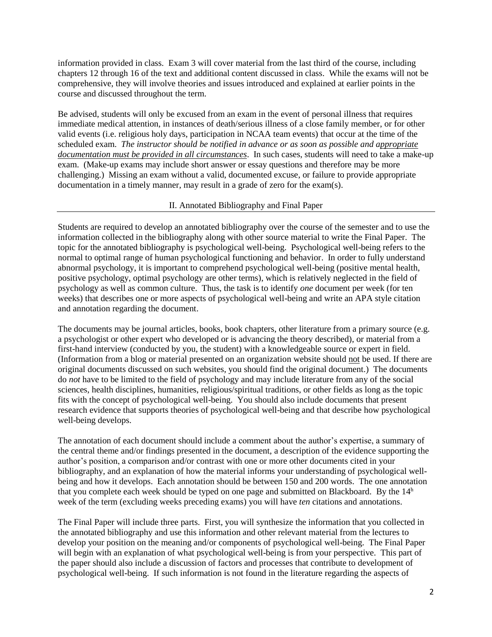information provided in class. Exam 3 will cover material from the last third of the course, including chapters 12 through 16 of the text and additional content discussed in class. While the exams will not be comprehensive, they will involve theories and issues introduced and explained at earlier points in the course and discussed throughout the term.

Be advised, students will only be excused from an exam in the event of personal illness that requires immediate medical attention, in instances of death/serious illness of a close family member, or for other valid events (i.e. religious holy days, participation in NCAA team events) that occur at the time of the scheduled exam. *The instructor should be notified in advance or as soon as possible and appropriate documentation must be provided in all circumstances*. In such cases, students will need to take a make-up exam. (Make-up exams may include short answer or essay questions and therefore may be more challenging.) Missing an exam without a valid, documented excuse, or failure to provide appropriate documentation in a timely manner, may result in a grade of zero for the exam(s).

## II. Annotated Bibliography and Final Paper

Students are required to develop an annotated bibliography over the course of the semester and to use the information collected in the bibliography along with other source material to write the Final Paper. The topic for the annotated bibliography is psychological well-being. Psychological well-being refers to the normal to optimal range of human psychological functioning and behavior. In order to fully understand abnormal psychology, it is important to comprehend psychological well-being (positive mental health, positive psychology, optimal psychology are other terms), which is relatively neglected in the field of psychology as well as common culture. Thus, the task is to identify *one* document per week (for ten weeks) that describes one or more aspects of psychological well-being and write an APA style citation and annotation regarding the document.

The documents may be journal articles, books, book chapters, other literature from a primary source (e.g. a psychologist or other expert who developed or is advancing the theory described), or material from a first-hand interview (conducted by you, the student) with a knowledgeable source or expert in field. (Information from a blog or material presented on an organization website should not be used. If there are original documents discussed on such websites, you should find the original document.) The documents do *not* have to be limited to the field of psychology and may include literature from any of the social sciences, health disciplines, humanities, religious/spiritual traditions, or other fields as long as the topic fits with the concept of psychological well-being. You should also include documents that present research evidence that supports theories of psychological well-being and that describe how psychological well-being develops.

The annotation of each document should include a comment about the author's expertise, a summary of the central theme and/or findings presented in the document, a description of the evidence supporting the author's position, a comparison and/or contrast with one or more other documents cited in your bibliography, and an explanation of how the material informs your understanding of psychological wellbeing and how it develops. Each annotation should be between 150 and 200 words. The one annotation that you complete each week should be typed on one page and submitted on Blackboard. By the  $14<sup>h</sup>$ week of the term (excluding weeks preceding exams) you will have *ten* citations and annotations.

The Final Paper will include three parts. First, you will synthesize the information that you collected in the annotated bibliography and use this information and other relevant material from the lectures to develop your position on the meaning and/or components of psychological well-being. The Final Paper will begin with an explanation of what psychological well-being is from your perspective. This part of the paper should also include a discussion of factors and processes that contribute to development of psychological well-being. If such information is not found in the literature regarding the aspects of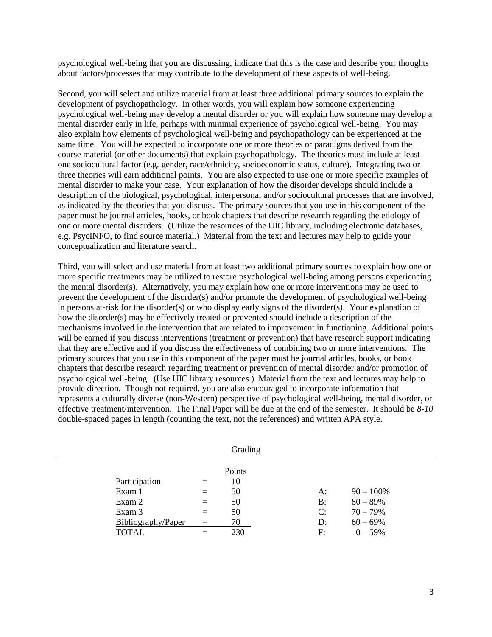psychological well-being that you are discussing, indicate that this is the case and describe your thoughts about factors/processes that may contribute to the development of these aspects of well-being.

Second, you will select and utilize material from at least three additional primary sources to explain the development of psychopathology. In other words, you will explain how someone experiencing psychological well-being may develop a mental disorder or you will explain how someone may develop a mental disorder early in life, perhaps with minimal experience of psychological well-being. You may also explain how elements of psychological well-being and psychopathology can be experienced at the same time. You will be expected to incorporate one or more theories or paradigms derived from the course material (or other documents) that explain psychopathology. The theories must include at least one sociocultural factor (e.g. gender, race/ethnicity, socioeconomic status, culture). Integrating two or three theories will earn additional points. You are also expected to use one or more specific examples of mental disorder to make your case. Your explanation of how the disorder develops should include a description of the biological, psychological, interpersonal and/or sociocultural processes that are involved, as indicated by the theories that you discuss. The primary sources that you use in this component of the paper must be journal articles, books, or book chapters that describe research regarding the etiology of one or more mental disorders. (Utilize the resources of the UIC library, including electronic databases, e.g. PsycINFO, to find source material.) Material from the text and lectures may help to guide your conceptualization and literature search.

Third, you will select and use material from at least two additional primary sources to explain how one or more specific treatments may be utilized to restore psychological well-being among persons experiencing the mental disorder(s). Alternatively, you may explain how one or more interventions may be used to prevent the development of the disorder(s) and/or promote the development of psychological well-being in persons at-risk for the disorder(s) or who display early signs of the disorder(s). Your explanation of how the disorder(s) may be effectively treated or prevented should include a description of the mechanisms involved in the intervention that are related to improvement in functioning. Additional points will be earned if you discuss interventions (treatment or prevention) that have research support indicating that they are effective and if you discuss the effectiveness of combining two or more interventions. The primary sources that you use in this component of the paper must be journal articles, books, or book chapters that describe research regarding treatment or prevention of mental disorder and/or promotion of psychological well-being. (Use UIC library resources.) Material from the text and lectures may help to provide direction. Though not required, you are also encouraged to incorporate information that represents a culturally diverse (non-Western) perspective of psychological well-being, mental disorder, or effective treatment/intervention. The Final Paper will be due at the end of the semester. It should be *8-10* double-spaced pages in length (counting the text, not the references) and written APA style.

|                                   |                 | Grading                  |          |                            |  |
|-----------------------------------|-----------------|--------------------------|----------|----------------------------|--|
| Participation<br>Exam 1<br>Exam 2 | $=$<br>$=$      | Points<br>10<br>50<br>50 | A:<br>B: | $90 - 100\%$<br>$80 - 89%$ |  |
| Exam 3<br>Bibliography/Paper      | $=$<br>$\equiv$ | 50<br>70                 | C:<br>D: | $70 - 79%$<br>$60 - 69%$   |  |
| <b>TOTAL</b>                      |                 | 230                      | F:       | $0 - 59%$                  |  |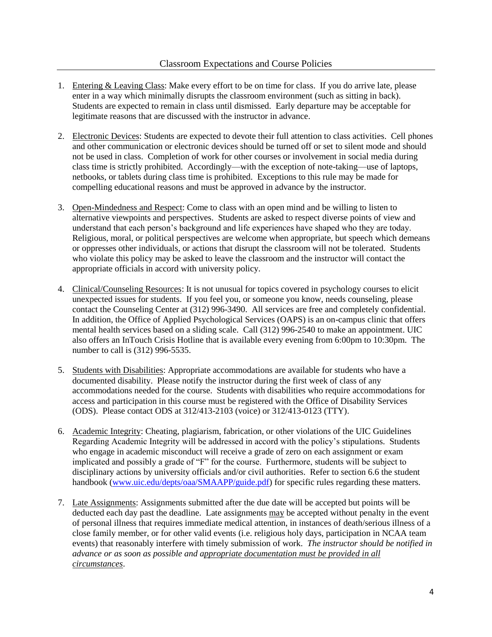- 1. Entering & Leaving Class: Make every effort to be on time for class. If you do arrive late, please enter in a way which minimally disrupts the classroom environment (such as sitting in back). Students are expected to remain in class until dismissed. Early departure may be acceptable for legitimate reasons that are discussed with the instructor in advance.
- 2. Electronic Devices: Students are expected to devote their full attention to class activities. Cell phones and other communication or electronic devices should be turned off or set to silent mode and should not be used in class. Completion of work for other courses or involvement in social media during class time is strictly prohibited. Accordingly—with the exception of note-taking—use of laptops, netbooks, or tablets during class time is prohibited. Exceptions to this rule may be made for compelling educational reasons and must be approved in advance by the instructor.
- 3. Open-Mindedness and Respect: Come to class with an open mind and be willing to listen to alternative viewpoints and perspectives. Students are asked to respect diverse points of view and understand that each person's background and life experiences have shaped who they are today. Religious, moral, or political perspectives are welcome when appropriate, but speech which demeans or oppresses other individuals, or actions that disrupt the classroom will not be tolerated. Students who violate this policy may be asked to leave the classroom and the instructor will contact the appropriate officials in accord with university policy.
- 4. Clinical/Counseling Resources: It is not unusual for topics covered in psychology courses to elicit unexpected issues for students. If you feel you, or someone you know, needs counseling, please contact the Counseling Center at (312) 996-3490. All services are free and completely confidential. In addition, the Office of Applied Psychological Services (OAPS) is an on-campus clinic that offers mental health services based on a sliding scale. Call (312) 996-2540 to make an appointment. UIC also offers an InTouch Crisis Hotline that is available every evening from 6:00pm to 10:30pm. The number to call is (312) 996-5535.
- 5. Students with Disabilities: Appropriate accommodations are available for students who have a documented disability. Please notify the instructor during the first week of class of any accommodations needed for the course. Students with disabilities who require accommodations for access and participation in this course must be registered with the Office of Disability Services (ODS). Please contact ODS at 312/413-2103 (voice) or 312/413-0123 (TTY).
- 6. Academic Integrity: Cheating, plagiarism, fabrication, or other violations of the UIC Guidelines Regarding Academic Integrity will be addressed in accord with the policy's stipulations. Students who engage in academic misconduct will receive a grade of zero on each assignment or exam implicated and possibly a grade of "F" for the course. Furthermore, students will be subject to disciplinary actions by university officials and/or civil authorities. Refer to section 6.6 the student handbook [\(www.uic.edu/depts/oaa/SMAAPP/guide.pdf\)](http://www.uic.edu/depts/oaa/SMAAPP/guide.pdf) for specific rules regarding these matters.
- 7. Late Assignments: Assignments submitted after the due date will be accepted but points will be deducted each day past the deadline. Late assignments may be accepted without penalty in the event of personal illness that requires immediate medical attention, in instances of death/serious illness of a close family member, or for other valid events (i.e. religious holy days, participation in NCAA team events) that reasonably interfere with timely submission of work. *The instructor should be notified in advance or as soon as possible and appropriate documentation must be provided in all circumstances*.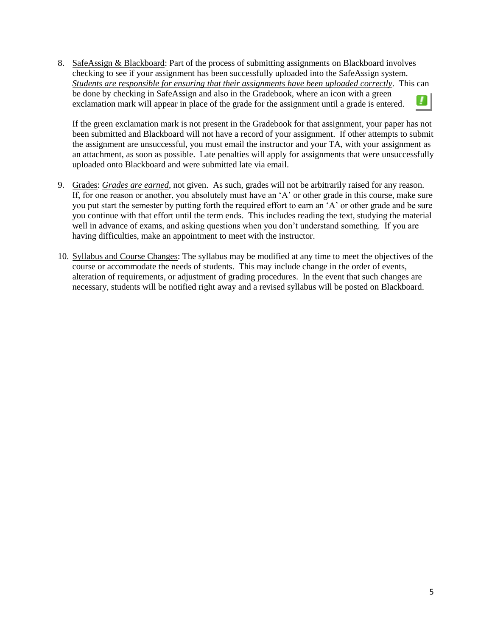8. SafeAssign & Blackboard: Part of the process of submitting assignments on Blackboard involves checking to see if your assignment has been successfully uploaded into the SafeAssign system. *Students are responsible for ensuring that their assignments have been uploaded correctly*. This can be done by checking in SafeAssign and also in the Gradebook, where an icon with a green exclamation mark will appear in place of the grade for the assignment until a grade is entered.

If the green exclamation mark is not present in the Gradebook for that assignment, your paper has not been submitted and Blackboard will not have a record of your assignment. If other attempts to submit the assignment are unsuccessful, you must email the instructor and your TA, with your assignment as an attachment, as soon as possible. Late penalties will apply for assignments that were unsuccessfully uploaded onto Blackboard and were submitted late via email.

- 9. Grades: *Grades are earned*, not given. As such, grades will not be arbitrarily raised for any reason. If, for one reason or another, you absolutely must have an 'A' or other grade in this course, make sure you put start the semester by putting forth the required effort to earn an 'A' or other grade and be sure you continue with that effort until the term ends. This includes reading the text, studying the material well in advance of exams, and asking questions when you don't understand something. If you are having difficulties, make an appointment to meet with the instructor.
- 10. Syllabus and Course Changes: The syllabus may be modified at any time to meet the objectives of the course or accommodate the needs of students. This may include change in the order of events, alteration of requirements, or adjustment of grading procedures. In the event that such changes are necessary, students will be notified right away and a revised syllabus will be posted on Blackboard.